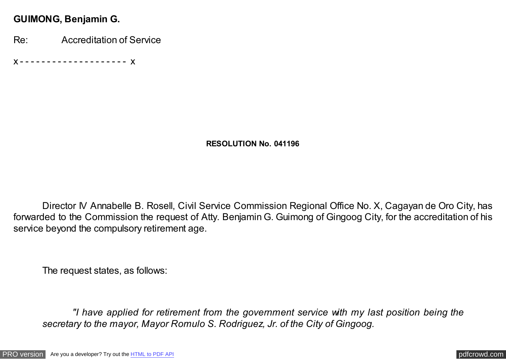### **GUIMONG, Benjamin G.**

Re: Accreditation of Service

x - - - - - - - - - - - - - - - - - - - - x

#### **RESOLUTION No. 041196**

Director IV Annabelle B. Rosell, Civil Service Commission Regional Office No. X, Cagayan de Oro City, has forwarded to the Commission the request of Atty. Benjamin G. Guimong of Gingoog City, for the accreditation of his service beyond the compulsory retirement age.

The request states, as follows:

 *"I have applied for retirement from the government service with my last position being the secretary to the mayor, Mayor Romulo S. Rodriguez, Jr. of the City of Gingoog.*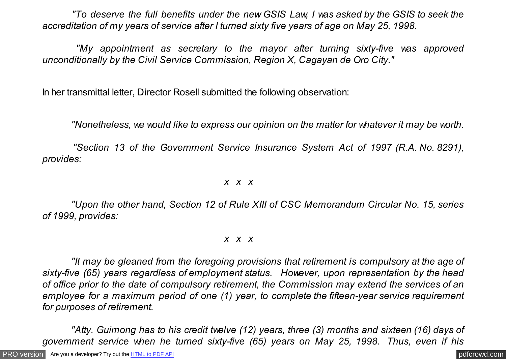*"To deserve the full benefits under the new GSIS Law, I was asked by the GSIS to seek the accreditation of my years of service after I turned sixty five years of age on May 25, 1998.*

 *"My appointment as secretary to the mayor after turning sixty-five was approved unconditionally by the Civil Service Commission, Region X, Cagayan de Oro City."*

In her transmittal letter, Director Rosell submitted the following observation:

*"Nonetheless, we would like to express our opinion on the matter for whatever it may be worth.*

 *"Section 13 of the Government Service Insurance System Act of 1997 (R.A. No. 8291), provides:*

#### *x x x*

 *"Upon the other hand, Section 12 of Rule XIII of CSC Memorandum Circular No. 15, series of 1999, provides:*

#### *x x x*

 *"It may be gleaned from the foregoing provisions that retirement is compulsory at the age of sixty-five (65) years regardless of employment status. However, upon representation by the head of office prior to the date of compulsory retirement, the Commission may extend the services of an employee for a maximum period of one (1) year, to complete the fifteen-year service requirement for purposes of retirement.*

 *"Atty. Guimong has to his credit twelve (12) years, three (3) months and sixteen (16) days of government service when he turned sixty-five (65) years on May 25, 1998. Thus, even if his*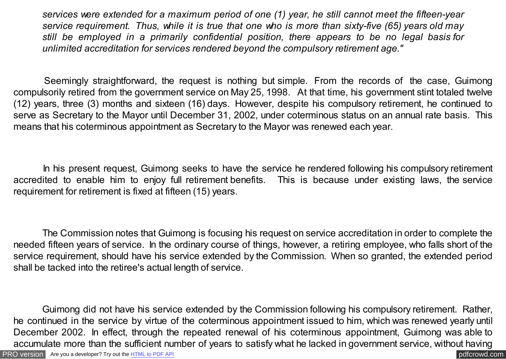*services were extended for a maximum period of one (1) year, he still cannot meet the fifteen-year service requirement. Thus, while it is true that one who is more than sixty-five (65) years old may still be employed in a primarily confidential position, there appears to be no legal basis for unlimited accreditation for services rendered beyond the compulsory retirement age."*

Seemingly straightforward, the request is nothing but simple. From the records of the case, Guimong compulsorily retired from the government service on May 25, 1998. At that time, his government stint totaled twelve (12) years, three (3) months and sixteen (16) days. However, despite his compulsory retirement, he continued to serve as Secretary to the Mayor until December 31, 2002, under coterminous status on an annual rate basis. This means that his coterminous appointment as Secretary to the Mayor was renewed each year.

 In his present request, Guimong seeks to have the service he rendered following his compulsory retirement accredited to enable him to enjoy full retirement benefits. This is because under existing laws, the service requirement for retirement is fixed at fifteen (15) years.

 The Commission notes that Guimong is focusing his request on service accreditation in order to complete the needed fifteen years of service. In the ordinary course of things, however, a retiring employee, who falls short of the service requirement, should have his service extended by the Commission. When so granted, the extended period shall be tacked into the retiree's actual length of service.

 Guimong did not have his service extended by the Commission following his compulsory retirement. Rather, he continued in the service by virtue of the coterminous appointment issued to him, which was renewed yearly until December 2002. In effect, through the repeated renewal of his coterminous appointment, Guimong was able to accumulate more than the sufficient number of years to satisfy what he lacked in government service, without having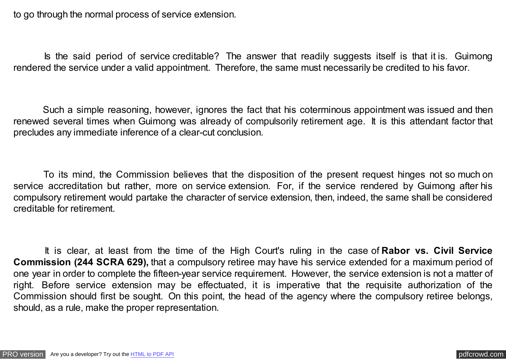to go through the normal process of service extension.

 Is the said period of service creditable? The answer that readily suggests itself is that it is. Guimong rendered the service under a valid appointment. Therefore, the same must necessarily be credited to his favor.

 Such a simple reasoning, however, ignores the fact that his coterminous appointment was issued and then renewed several times when Guimong was already of compulsorily retirement age. It is this attendant factor that precludes any immediate inference of a clear-cut conclusion.

 To its mind, the Commission believes that the disposition of the present request hinges not so much on service accreditation but rather, more on service extension. For, if the service rendered by Guimong after his compulsory retirement would partake the character of service extension, then, indeed, the same shall be considered creditable for retirement.

 It is clear, at least from the time of the High Court's ruling in the case of **Rabor vs. Civil Service Commission (244 SCRA 629),** that a compulsory retiree may have his service extended for a maximum period of one year in order to complete the fifteen-year service requirement. However, the service extension is not a matter of right. Before service extension may be effectuated, it is imperative that the requisite authorization of the Commission should first be sought. On this point, the head of the agency where the compulsory retiree belongs, should, as a rule, make the proper representation.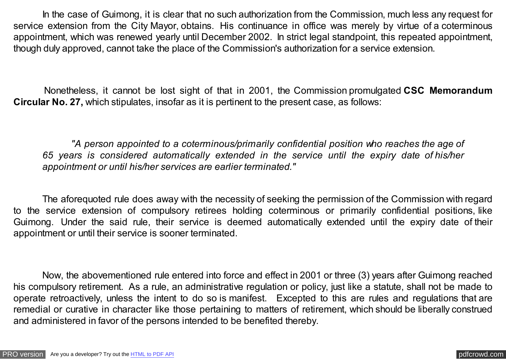In the case of Guimong, it is clear that no such authorization from the Commission, much less any request for service extension from the City Mayor, obtains. His continuance in office was merely by virtue of a coterminous appointment, which was renewed yearly until December 2002. In strict legal standpoint, this repeated appointment, though duly approved, cannot take the place of the Commission's authorization for a service extension.

 Nonetheless, it cannot be lost sight of that in 2001, the Commission promulgated **CSC Memorandum Circular No. 27,** which stipulates, insofar as it is pertinent to the present case, as follows:

 *"A person appointed to a coterminous/primarily confidential position who reaches the age of 65 years is considered automatically extended in the service until the expiry date of his/her appointment or until his/her services are earlier terminated."*

 The aforequoted rule does away with the necessity of seeking the permission of the Commission with regard to the service extension of compulsory retirees holding coterminous or primarily confidential positions, like Guimong. Under the said rule, their service is deemed automatically extended until the expiry date of their appointment or until their service is sooner terminated.

 Now, the abovementioned rule entered into force and effect in 2001 or three (3) years after Guimong reached his compulsory retirement. As a rule, an administrative regulation or policy, just like a statute, shall not be made to operate retroactively, unless the intent to do so is manifest. Excepted to this are rules and regulations that are remedial or curative in character like those pertaining to matters of retirement, which should be liberally construed and administered in favor of the persons intended to be benefited thereby.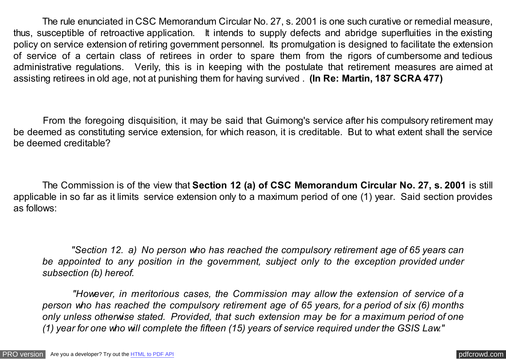The rule enunciated in CSC Memorandum Circular No. 27, s. 2001 is one such curative or remedial measure, thus, susceptible of retroactive application. It intends to supply defects and abridge superfluities in the existing policy on service extension of retiring government personnel. Its promulgation is designed to facilitate the extension of service of a certain class of retirees in order to spare them from the rigors of cumbersome and tedious administrative regulations. Verily, this is in keeping with the postulate that retirement measures are aimed at assisting retirees in old age, not at punishing them for having survived . **(In Re: Martin, 187 SCRA 477)**

 From the foregoing disquisition, it may be said that Guimong's service after his compulsory retirement may be deemed as constituting service extension, for which reason, it is creditable. But to what extent shall the service be deemed creditable?

 The Commission is of the view that **Section 12 (a) of CSC Memorandum Circular No. 27, s. 2001** is still applicable in so far as it limits service extension only to a maximum period of one (1) year. Said section provides as follows:

 *"Section 12. a) No person who has reached the compulsory retirement age of 65 years can be appointed to any position in the government, subject only to the exception provided under subsection (b) hereof.*

 *"However, in meritorious cases, the Commission may allow the extension of service of a person who has reached the compulsory retirement age of 65 years, for a period of six (6) months only unless otherwise stated. Provided, that such extension may be for a maximum period of one (1) year for one who will complete the fifteen (15) years of service required under the GSIS Law."*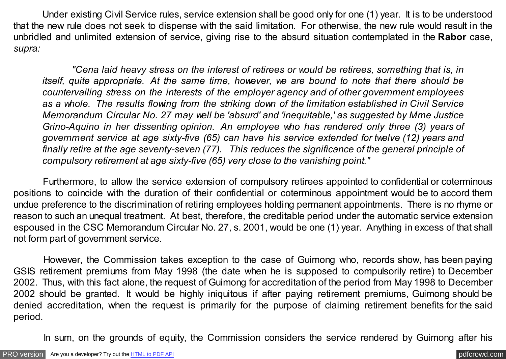Under existing Civil Service rules, service extension shall be good only for one (1) year. It is to be understood that the new rule does not seek to dispense with the said limitation. For otherwise, the new rule would result in the unbridled and unlimited extension of service, giving rise to the absurd situation contemplated in the **Rabor** case, *supra:*

 *"Cena laid heavy stress on the interest of retirees or would be retirees, something that is, in itself, quite appropriate. At the same time, however, we are bound to note that there should be countervailing stress on the interests of the employer agency and of other government employees as a whole. The results flowing from the striking down of the limitation established in Civil Service Memorandum Circular No. 27 may well be 'absurd' and 'inequitable,' as suggested by Mme Justice Grino-Aquino in her dissenting opinion. An employee who has rendered only three (3) years of government service at age sixty-five (65) can have his service extended for twelve (12) years and finally retire at the age seventy-seven (77). This reduces the significance of the general principle of compulsory retirement at age sixty-five (65) very close to the vanishing point."*

Furthermore, to allow the service extension of compulsory retirees appointed to confidential or coterminous positions to coincide with the duration of their confidential or coterminous appointment would be to accord them undue preference to the discrimination of retiring employees holding permanent appointments. There is no rhyme or reason to such an unequal treatment. At best, therefore, the creditable period under the automatic service extension espoused in the CSC Memorandum Circular No. 27, s. 2001, would be one (1) year. Anything in excess of that shall not form part of government service.

 However, the Commission takes exception to the case of Guimong who, records show, has been paying GSIS retirement premiums from May 1998 (the date when he is supposed to compulsorily retire) to December 2002. Thus, with this fact alone, the request of Guimong for accreditation of the period from May 1998 to December 2002 should be granted. It would be highly iniquitous if after paying retirement premiums, Guimong should be denied accreditation, when the request is primarily for the purpose of claiming retirement benefits for the said period.

In sum, on the grounds of equity, the Commission considers the service rendered by Guimong after his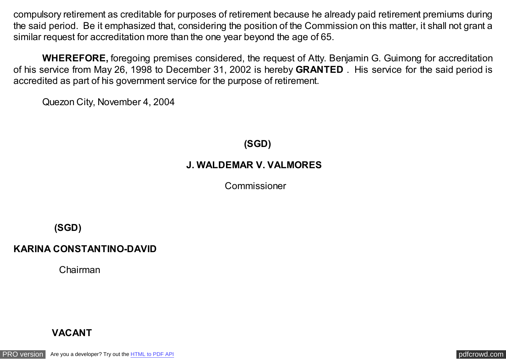compulsory retirement as creditable for purposes of retirement because he already paid retirement premiums during the said period. Be it emphasized that, considering the position of the Commission on this matter, it shall not grant a similar request for accreditation more than the one year beyond the age of 65.

 **WHEREFORE,** foregoing premises considered, the request of Atty. Benjamin G. Guimong for accreditation of his service from May 26, 1998 to December 31, 2002 is hereby **GRANTED** . His service for the said period is accredited as part of his government service for the purpose of retirement.

Quezon City, November 4, 2004

**(SGD)**

### **J. WALDEMAR V. VALMORES**

Commissioner

**(SGD)**

## **KARINA CONSTANTINO-DAVID**

Chairman

# **VACANT**